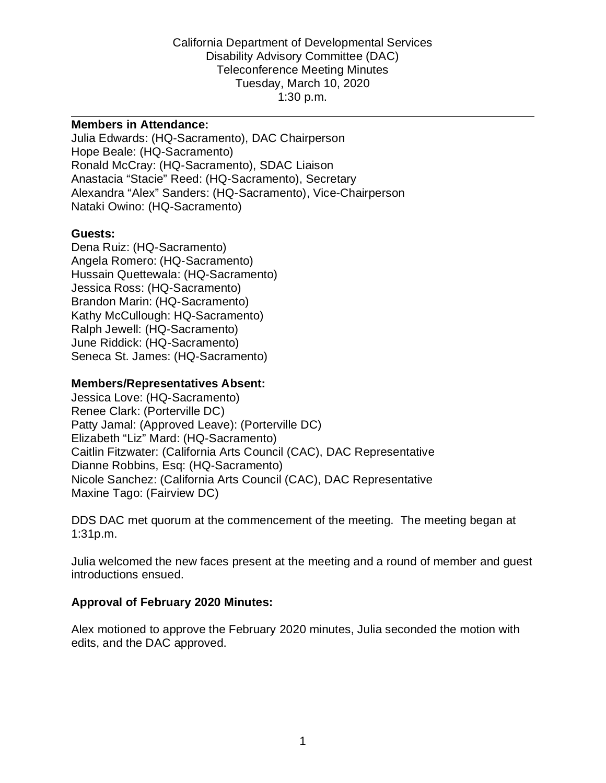Disability Advisory Committee (DAC) Tuesday, March 10, 2020 1:30 p.m.  $1:30 p.m.$ California Department of Developmental Services Teleconference Meeting Minutes

#### **Members in Attendance:**

Julia Edwards: (HQ-Sacramento), DAC Chairperson Hope Beale: (HQ-Sacramento) Ronald McCray: (HQ-Sacramento), SDAC Liaison Anastacia "Stacie" Reed: (HQ-Sacramento), Secretary Alexandra "Alex" Sanders: (HQ-Sacramento), Vice-Chairperson Nataki Owino: (HQ-Sacramento)

#### **Guests:**

Dena Ruiz: (HQ-Sacramento) Angela Romero: (HQ-Sacramento) Hussain Quettewala: (HQ-Sacramento) Jessica Ross: (HQ-Sacramento) Brandon Marin: (HQ-Sacramento) Kathy McCullough: HQ-Sacramento) Ralph Jewell: (HQ-Sacramento) June Riddick: (HQ-Sacramento) Seneca St. James: (HQ-Sacramento)

#### **Members/Representatives Absent:**

Caitlin Fitzwater: (California Arts Council (CAC), DAC Representative<br>Dianne Robbins, Esq: (HQ-Sacramento) Jessica Love: (HQ-Sacramento) Renee Clark: (Porterville DC) Patty Jamal: (Approved Leave): (Porterville DC) Elizabeth "Liz" Mard: (HQ-Sacramento) Nicole Sanchez: (California Arts Council (CAC), DAC Representative Maxine Tago: (Fairview DC)

DDS DAC met quorum at the commencement of the meeting. The meeting began at 1:31p.m.

 Julia welcomed the new faces present at the meeting and a round of member and guest introductions ensued.

#### **Approval of February 2020 Minutes:**

 Alex motioned to approve the February 2020 minutes, Julia seconded the motion with edits, and the DAC approved.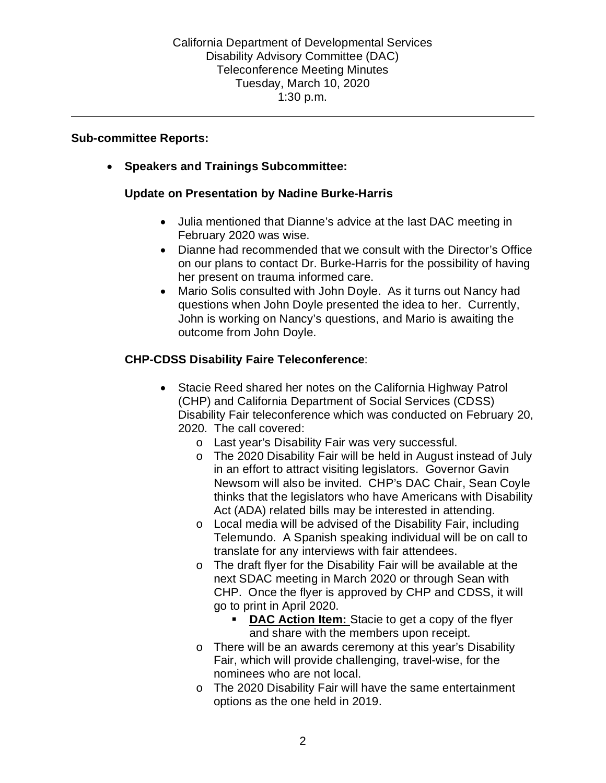#### **Sub-committee Reports:**

• **Speakers and Trainings Subcommittee:** 

### **Update on Presentation by Nadine Burke-Harris**

- • Julia mentioned that Dianne's advice at the last DAC meeting in February 2020 was wise.
- her present on trauma informed care. • Dianne had recommended that we consult with the Director's Office on our plans to contact Dr. Burke-Harris for the possibility of having

 John is working on Nancy's questions, and Mario is awaiting the outcome from John Doyle. • Mario Solis consulted with John Doyle. As it turns out Nancy had questions when John Doyle presented the idea to her. Currently,

### **CHP-CDSS Disability Faire Teleconference**:

- • Stacie Reed shared her notes on the California Highway Patrol Disability Fair teleconference which was conducted on February 20, 2020. The call covered: (CHP) and California Department of Social Services (CDSS)
	- o Last year's Disability Fair was very successful.
	- Newsom will also be invited. CHP's DAC Chair, Sean Coyle o The 2020 Disability Fair will be held in August instead of July in an effort to attract visiting legislators. Governor Gavin thinks that the legislators who have Americans with Disability Act (ADA) related bills may be interested in attending.
	- translate for any interviews with fair attendees. o Local media will be advised of the Disability Fair, including Telemundo. A Spanish speaking individual will be on call to
	- go to print in April 2020. o The draft flyer for the Disability Fair will be available at the next SDAC meeting in March 2020 or through Sean with CHP. Once the flyer is approved by CHP and CDSS, it will
		- **DAC Action Item:** Stacie to get a copy of the flyer and share with the members upon receipt.
	- o There will be an awards ceremony at this year's Disability Fair, which will provide challenging, travel-wise, for the nominees who are not local.
	- options as the one held in 2019. o The 2020 Disability Fair will have the same entertainment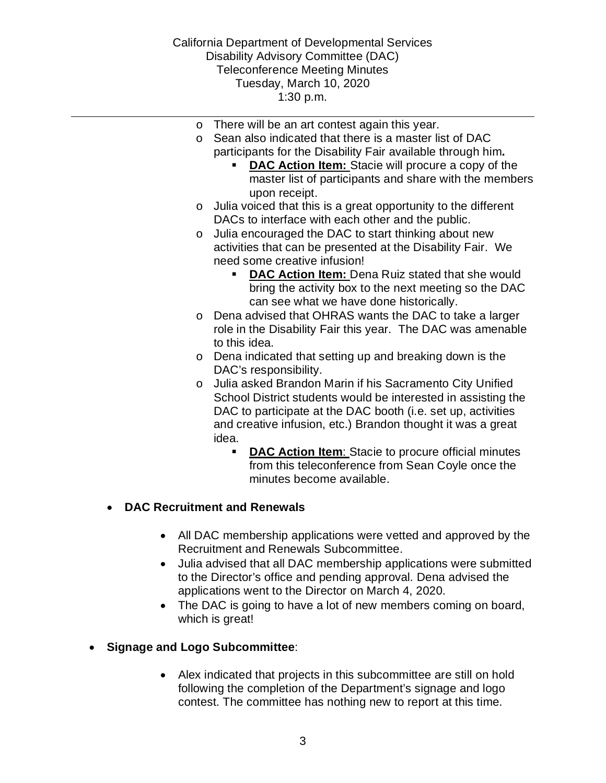Disability Advisory Committee (DAC) Tuesday, March 10, 2020 1:30 p.m.  $1:30 p.m.$ California Department of Developmental Services Teleconference Meeting Minutes

- o There will be an art contest again this year.
- o Sean also indicated that there is a master list of DAC participants for the Disability Fair available through him**.** 
	- **DAC Action Item:** Stacie will procure a copy of the master list of participants and share with the members upon receipt.

- $\circ$  Julia voiced that this is a great opportunity to the different DACs to interface with each other and the public.
- activities that can be presented at the Disability Fair. We need some creative infusion! o Julia encouraged the DAC to start thinking about new
	- **DAC Action Item: Dena Ruiz stated that she would** bring the activity box to the next meeting so the DAC can see what we have done historically.
- o Dena advised that OHRAS wants the DAC to take a larger role in the Disability Fair this year. The DAC was amenable to this idea.
- DAC's responsibility. o Dena indicated that setting up and breaking down is the
- DAC to participate at the DAC booth (i.e. set up, activities o Julia asked Brandon Marin if his Sacramento City Unified School District students would be interested in assisting the and creative infusion, etc.) Brandon thought it was a great idea.
	- **DAC Action Item**: Stacie to procure official minutes from this teleconference from Sean Coyle once the minutes become available.

### • **DAC Recruitment and Renewals**

- All DAC membership applications were vetted and approved by the Recruitment and Renewals Subcommittee.
- • Julia advised that all DAC membership applications were submitted applications went to the Director on March 4, 2020. to the Director's office and pending approval. Dena advised the
- • The DAC is going to have a lot of new members coming on board, which is great!

### • **Signage and Logo Subcommittee**:

• Alex indicated that projects in this subcommittee are still on hold following the completion of the Department's signage and logo contest. The committee has nothing new to report at this time.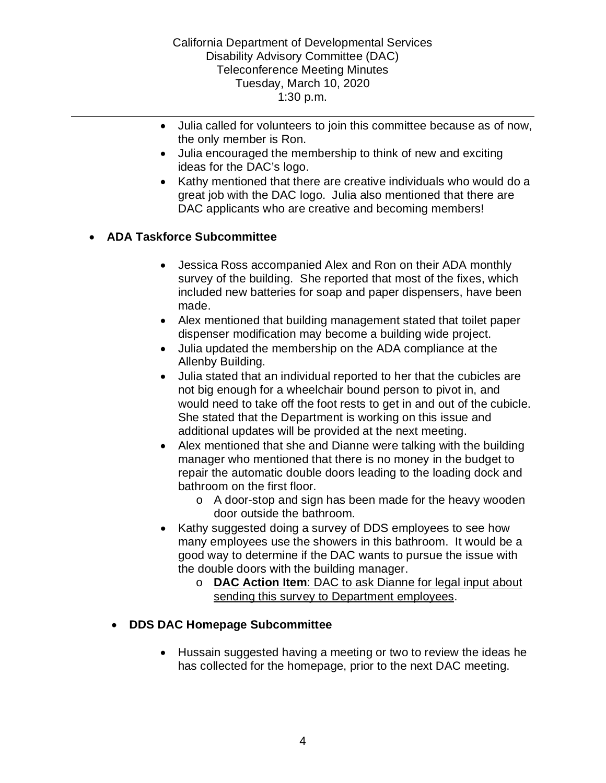the only member is Ron. • Julia called for volunteers to join this committee because as of now,

- Julia encouraged the membership to think of new and exciting ideas for the DAC's logo.
- Kathy mentioned that there are creative individuals who would do a great job with the DAC logo. Julia also mentioned that there are DAC applicants who are creative and becoming members!

## • **ADA Taskforce Subcommittee**

- Jessica Ross accompanied Alex and Ron on their ADA monthly survey of the building. She reported that most of the fixes, which included new batteries for soap and paper dispensers, have been made.
- • Alex mentioned that building management stated that toilet paper dispenser modification may become a building wide project.
- Allenby Building. • Julia updated the membership on the ADA compliance at the
- • Julia stated that an individual reported to her that the cubicles are not big enough for a wheelchair bound person to pivot in, and would need to take off the foot rests to get in and out of the cubicle. She stated that the Department is working on this issue and additional updates will be provided at the next meeting.
- bathroom on the first floor. • Alex mentioned that she and Dianne were talking with the building manager who mentioned that there is no money in the budget to repair the automatic double doors leading to the loading dock and
	- o A door-stop and sign has been made for the heavy wooden door outside the bathroom.
- the double doors with the building manager. Kathy suggested doing a survey of DDS employees to see how many employees use the showers in this bathroom. It would be a good way to determine if the DAC wants to pursue the issue with
	- o **DAC Action Item**: DAC to ask Dianne for legal input about sending this survey to Department employees.

### • **DDS DAC Homepage Subcommittee**

 • Hussain suggested having a meeting or two to review the ideas he has collected for the homepage, prior to the next DAC meeting.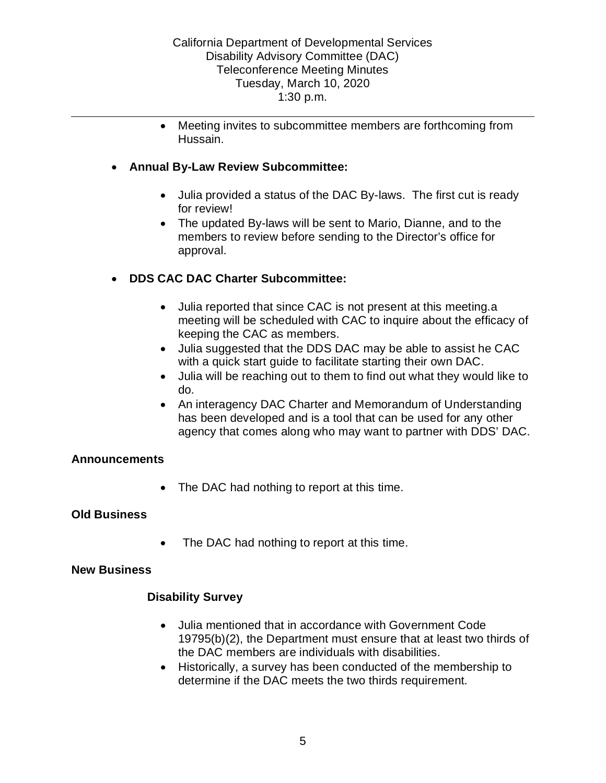• Meeting invites to subcommittee members are forthcoming from Hussain.

### • **Annual By-Law Review Subcommittee:**

- for review! • Julia provided a status of the DAC By-laws. The first cut is ready
- The updated By-laws will be sent to Mario, Dianne, and to the members to review before sending to the Director's office for approval.

## • **DDS CAC DAC Charter Subcommittee:**

- • Julia reported that since CAC is not present at this meeting.a meeting will be scheduled with CAC to inquire about the efficacy of keeping the CAC as members.
- with a quick start guide to facilitate starting their own DAC. • Julia suggested that the DDS DAC may be able to assist he CAC
- Julia will be reaching out to them to find out what they would like to do.
- has been developed and is a tool that can be used for any other • An interagency DAC Charter and Memorandum of Understanding agency that comes along who may want to partner with DDS' DAC.

### **Announcements**

• The DAC had nothing to report at this time.

### **Old Business**

• The DAC had nothing to report at this time.

### **New Business**

### **Disability Survey**

- 19795(b)(2), the Department must ensure that at least two thirds of the DAC members are individuals with disabilities. • Julia mentioned that in accordance with Government Code
- determine if the DAC meets the two thirds requirement. 5 • Historically, a survey has been conducted of the membership to